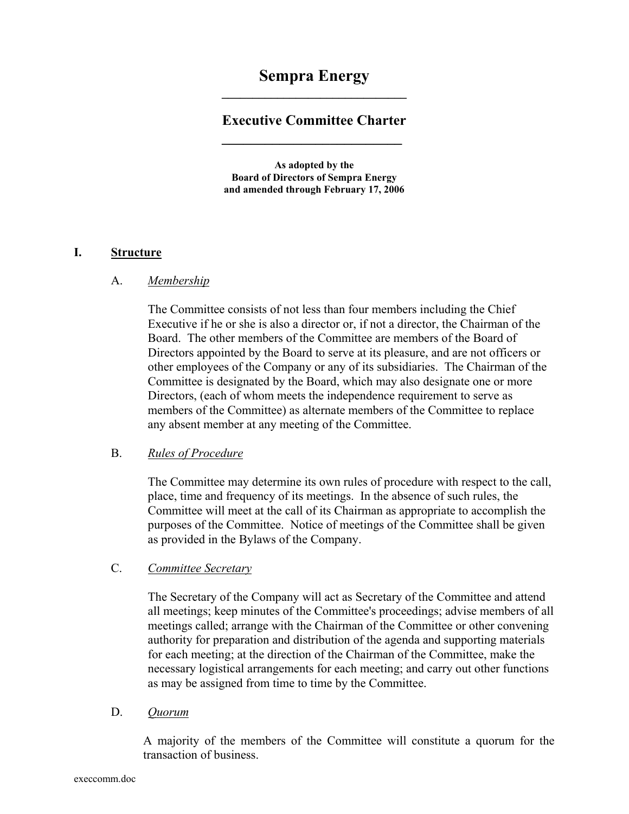# **Sempra Energy \_\_\_\_\_\_\_\_\_\_\_\_\_\_\_\_\_\_\_\_\_\_\_\_\_\_\_\_\_\_**

## **Executive Committee Charter**

 **\_\_\_\_\_\_\_\_\_\_\_\_\_\_\_\_\_\_\_\_\_\_\_\_\_** 

**As adopted by the Board of Directors of Sempra Energy and amended through February 17, 2006** 

### **I. Structure**

#### A. *Membership*

The Committee consists of not less than four members including the Chief Executive if he or she is also a director or, if not a director, the Chairman of the Board. The other members of the Committee are members of the Board of Directors appointed by the Board to serve at its pleasure, and are not officers or other employees of the Company or any of its subsidiaries. The Chairman of the Committee is designated by the Board, which may also designate one or more Directors, (each of whom meets the independence requirement to serve as members of the Committee) as alternate members of the Committee to replace any absent member at any meeting of the Committee.

#### B. *Rules of Procedure*

The Committee may determine its own rules of procedure with respect to the call, place, time and frequency of its meetings. In the absence of such rules, the Committee will meet at the call of its Chairman as appropriate to accomplish the purposes of the Committee. Notice of meetings of the Committee shall be given as provided in the Bylaws of the Company.

#### C. *Committee Secretary*

The Secretary of the Company will act as Secretary of the Committee and attend all meetings; keep minutes of the Committee's proceedings; advise members of all meetings called; arrange with the Chairman of the Committee or other convening authority for preparation and distribution of the agenda and supporting materials for each meeting; at the direction of the Chairman of the Committee, make the necessary logistical arrangements for each meeting; and carry out other functions as may be assigned from time to time by the Committee.

#### D. *Quorum*

A majority of the members of the Committee will constitute a quorum for the transaction of business.